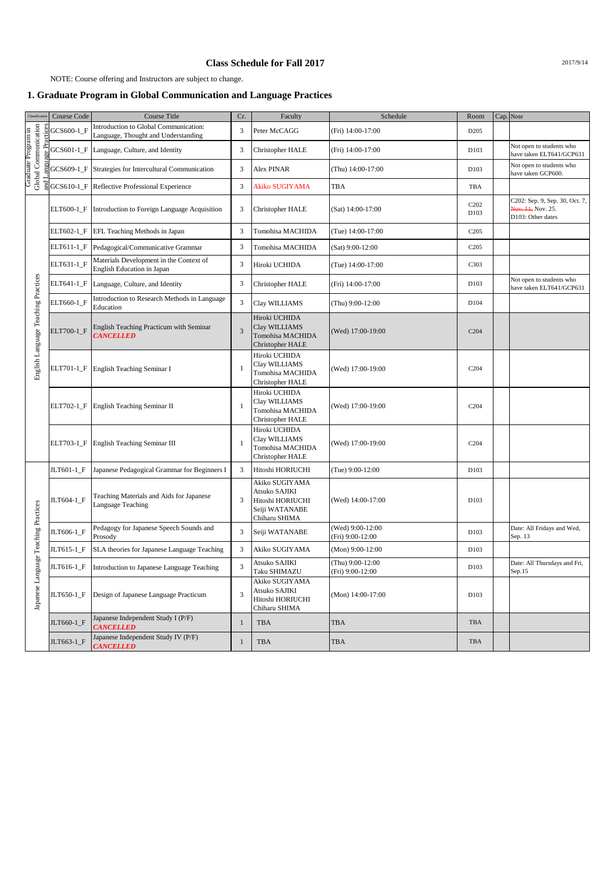## **Class Schedule for Fall 2017** 2017/9/14

NOTE: Course offering and Instructors are subject to change.

## **1. Graduate Program in Global Communication and Language Practices**

| Classificatio                               | Course Code | Course Title                                                                 | Cr.            | Faculty                                                                                | Schedule                             | Room                                  | Cap. Note |                                                                          |
|---------------------------------------------|-------------|------------------------------------------------------------------------------|----------------|----------------------------------------------------------------------------------------|--------------------------------------|---------------------------------------|-----------|--------------------------------------------------------------------------|
| Global Communication<br>Graduate Program in | GCS600-1_F  | Introduction to Global Communication:<br>Language, Thought and Understanding | 3              | Peter McCAGG                                                                           | (Fri) 14:00-17:00                    | D205                                  |           |                                                                          |
|                                             | GCS601-1_F  | Language, Culture, and Identity                                              | 3              | Christopher HALE                                                                       | (Fri) 14:00-17:00                    | D <sub>103</sub>                      |           | Not open to students who<br>have taken ELT641/GCP631                     |
|                                             | GCS609-1_F  | Strategies for Intercultural Communication                                   | 3              | Alex PINAR                                                                             | (Thu) 14:00-17:00                    | D <sub>103</sub>                      |           | Not open to students who<br>have taken GCP600.                           |
|                                             | GCS610-1_F  | Reflective Professional Experience                                           | 3              | Akiko SUGIYAMA                                                                         | TBA                                  | TBA                                   |           |                                                                          |
|                                             | ELT600-1_F  | Introduction to Foreign Language Acquisition                                 | 3              | Christopher HALE                                                                       | (Sat) 14:00-17:00                    | C <sub>2</sub> 0 <sub>2</sub><br>D103 |           | C202: Sep. 9, Sep. 30, Oct. 7,<br>Nov. 11, Nov. 25.<br>D103: Other dates |
|                                             | ELT602-1_F  | EFL Teaching Methods in Japan                                                | 3              | Tomohisa MACHIDA                                                                       | (Tue) 14:00-17:00                    | C <sub>205</sub>                      |           |                                                                          |
|                                             | ELT611-1_F  | Pedagogical/Communicative Grammar                                            | 3              | Tomohisa MACHIDA                                                                       | (Sat) 9:00-12:00                     | C <sub>2</sub> 05                     |           |                                                                          |
|                                             | ELT631-1_F  | Materials Development in the Context of<br><b>English Education in Japan</b> | 3              | Hiroki UCHIDA                                                                          | (Tue) 14:00-17:00                    | C303                                  |           |                                                                          |
|                                             | ELT641-1_F  | Language, Culture, and Identity                                              | 3              | Christopher HALE                                                                       | (Fri) 14:00-17:00                    | D103                                  |           | Not open to students who<br>have taken ELT641/GCP631                     |
| English Language Teaching Practices         | ELT660-1_F  | Introduction to Research Methods in Language<br>Education                    | 3              | Clay WILLIAMS                                                                          | (Thu) 9:00-12:00                     | D104                                  |           |                                                                          |
|                                             | ELT700-1 F  | English Teaching Practicum with Seminar<br><b>CANCELLED</b>                  | $\overline{3}$ | Hiroki UCHIDA<br>Clay WILLIAMS<br>Tomohisa MACHIDA<br>Christopher HALE                 | (Wed) 17:00-19:00                    | C204                                  |           |                                                                          |
|                                             | ELT701-1_F  | English Teaching Seminar I                                                   | $\overline{1}$ | Hiroki UCHIDA<br>Clay WILLIAMS<br>Tomohisa MACHIDA<br>Christopher HALE                 | (Wed) 17:00-19:00                    | C204                                  |           |                                                                          |
|                                             | ELT702-1 F  | English Teaching Seminar II                                                  |                | Hiroki UCHIDA<br>Clay WILLIAMS<br>Tomohisa MACHIDA<br>Christopher HALE                 | (Wed) 17:00-19:00                    | C204                                  |           |                                                                          |
|                                             | ELT703-1_F  | <b>English Teaching Seminar III</b>                                          | 1              | Hiroki UCHIDA<br>Clay WILLIAMS<br>Tomohisa MACHIDA<br>Christopher HALE                 | (Wed) 17:00-19:00                    | C <sub>204</sub>                      |           |                                                                          |
| guage Teaching Practices<br>Japanese Lan    | JLT601-1_F  | Japanese Pedagogical Grammar for Beginners I                                 | 3              | Hitoshi HORIUCHI                                                                       | (Tue) 9:00-12:00                     | D <sub>103</sub>                      |           |                                                                          |
|                                             | JLT604-1_F  | Teaching Materials and Aids for Japanese<br><b>Language Teaching</b>         | 3              | Akiko SUGIYAMA<br>Atsuko SAJIKI<br>Hitoshi HORIUCHI<br>Seiji WATANABE<br>Chiharu SHIMA | (Wed) 14:00-17:00                    | D <sub>103</sub>                      |           |                                                                          |
|                                             | JLT606-1_F  | Pedagogy for Japanese Speech Sounds and<br>Prosody                           | 3              | Seiji WATANABE                                                                         | (Wed) 9:00-12:00<br>(Fri) 9:00-12:00 | D103                                  |           | Date: All Fridays and Wed,<br>Sep. 13                                    |
|                                             | JLT615-1_F  | SLA theories for Japanese Language Teaching                                  | 3              | Akiko SUGIYAMA                                                                         | (Mon) 9:00-12:00                     | D103                                  |           |                                                                          |
|                                             | JLT616-1_F  | Introduction to Japanese Language Teaching                                   | 3              | Atsuko SAJIKI<br>Taku SHIMAZU                                                          | (Thu) 9:00-12:00<br>(Fri) 9:00-12:00 | D103                                  |           | Date: All Thursdays and Fri,<br>Sep.15                                   |
|                                             | JLT650-1_F  | Design of Japanese Language Practicum                                        | 3              | Akiko SUGIYAMA<br>Atsuko SAJIKI<br>Hitoshi HORIUCHI<br>Chiharu SHIMA                   | (Mon) 14:00-17:00                    | D103                                  |           |                                                                          |
|                                             | JLT660-1_F  | Japanese Independent Study I (P/F)<br><b>CANCELLED</b>                       | 1              | TBA                                                                                    | <b>TBA</b>                           | TBA                                   |           |                                                                          |
|                                             | JLT663-1_F  | Japanese Independent Study IV (P/F)<br><b>CANCELLED</b>                      | $\mathbf{1}$   | TBA                                                                                    | <b>TBA</b>                           | TBA                                   |           |                                                                          |